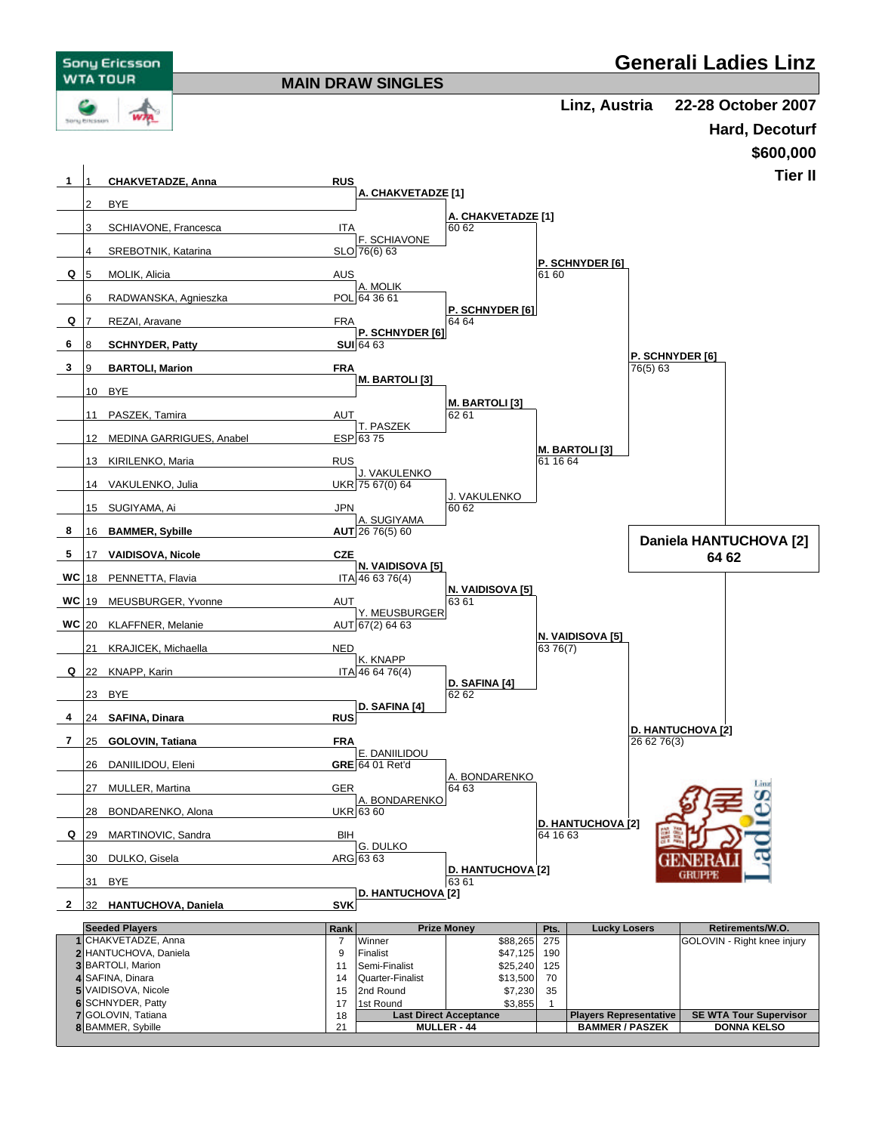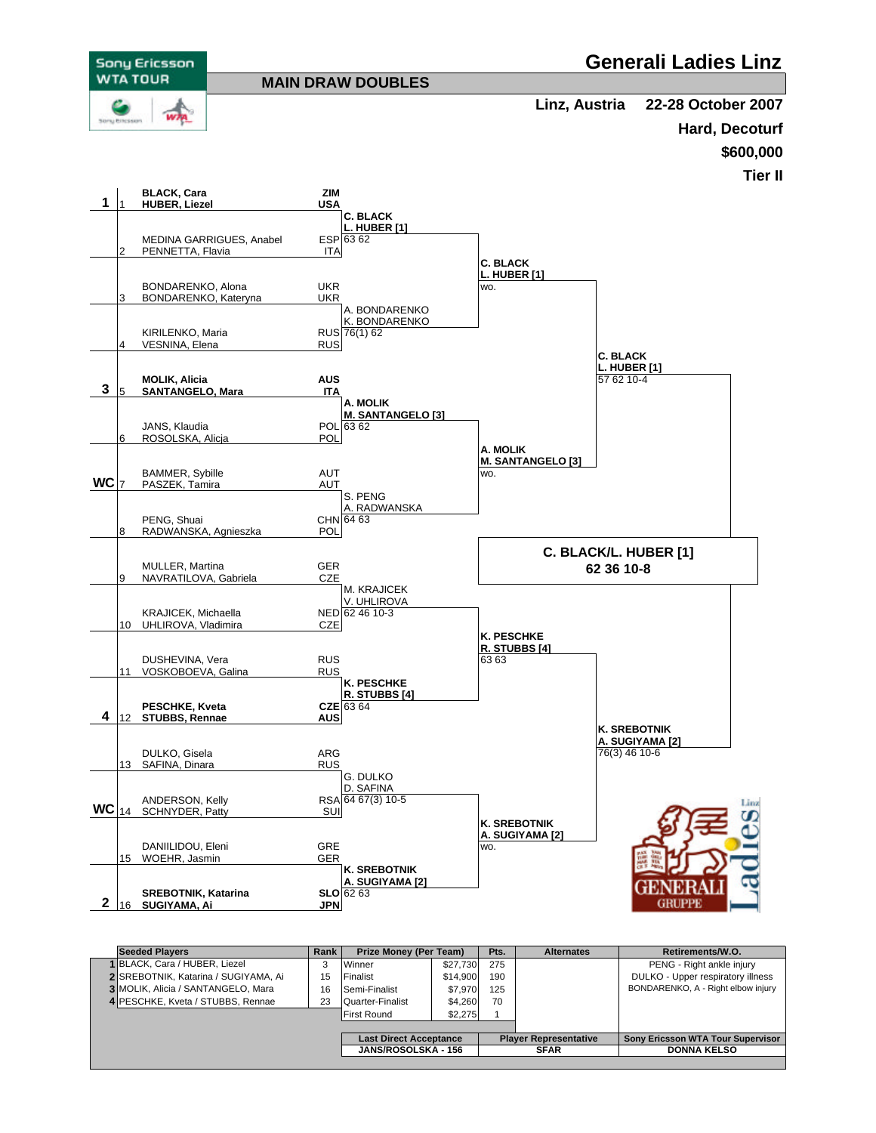

| <b>Seeded Plavers</b>                |    | Prize Money (Per Team)        |          | Pts.                         | <b>Alternates</b> | Retirements/W.O.                   |
|--------------------------------------|----|-------------------------------|----------|------------------------------|-------------------|------------------------------------|
| 1 BLACK, Cara / HUBER, Liezel        | 3  | Winner                        | \$27,730 | 275                          |                   | PENG - Right ankle injury          |
| 2 SREBOTNIK, Katarina / SUGIYAMA, Ai | 15 | Finalist                      | \$14.900 | 190                          |                   | DULKO - Upper respiratory illness  |
| 3 MOLIK, Alicia / SANTANGELO, Mara   | 16 | Semi-Finalist                 | \$7.970  | 125                          |                   | BONDARENKO, A - Right elbow injury |
| 4 PESCHKE, Kveta / STUBBS, Rennae    | 23 | Quarter-Finalist              | \$4.260  | 70                           |                   |                                    |
|                                      |    | <b>IFirst Round</b>           | \$2,275  |                              |                   |                                    |
|                                      |    |                               |          |                              |                   |                                    |
|                                      |    | <b>Last Direct Acceptance</b> |          | <b>Player Representative</b> |                   | Sony Ericsson WTA Tour Supervisor  |
|                                      |    | <b>JANS/ROSOLSKA - 156</b>    |          | <b>SFAR</b>                  |                   | <b>DONNA KELSO</b>                 |
|                                      |    |                               |          |                              |                   |                                    |